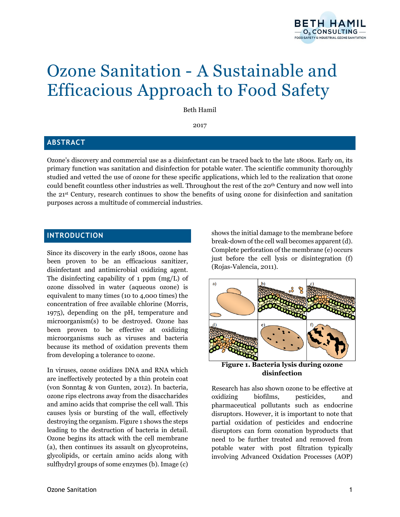

# Ozone Sanitation - A Sustainable and Efficacious Approach to Food Safety

Beth Hamil

2017

## **ABSTRACT**

Ozone's discovery and commercial use as a disinfectant can be traced back to the late 1800s. Early on, its primary function was sanitation and disinfection for potable water. The scientific community thoroughly studied and vetted the use of ozone for these specific applications, which led to the realization that ozone could benefit countless other industries as well. Throughout the rest of the 20th Century and now well into the 21st Century, research continues to show the benefits of using ozone for disinfection and sanitation purposes across a multitude of commercial industries.

## **INTRODUCTION**

Since its discovery in the early 1800s, ozone has been proven to be an efficacious sanitizer, disinfectant and antimicrobial oxidizing agent. The disinfecting capability of 1 ppm (mg/L) of ozone dissolved in water (aqueous ozone) is equivalent to many times (10 to 4,000 times) the concentration of free available chlorine (Morris, 1975), depending on the pH, temperature and microorganism(s) to be destroyed. Ozone has been proven to be effective at oxidizing microorganisms such as viruses and bacteria because its method of oxidation prevents them from developing a tolerance to ozone.

In viruses, ozone oxidizes DNA and RNA which are ineffectively protected by a thin protein coat (von Sonntag & von Gunten, 2012). In bacteria, ozone rips electrons away from the disaccharides and amino acids that comprise the cell wall. This causes lysis or bursting of the wall, effectively destroying the organism. Figure 1 shows the steps leading to the destruction of bacteria in detail. Ozone begins its attack with the cell membrane (a), then continues its assault on glycoproteins, glycolipids, or certain amino acids along with sulfhydryl groups of some enzymes (b). Image (c)

shows the initial damage to the membrane before break-down of the cell wall becomes apparent (d). Complete perforation of the membrane (e) occurs just before the cell lysis or disintegration (f) (Rojas-Valencia, 2011).



**Figure 1. Bacteria lysis during ozone disinfection**

Research has also shown ozone to be effective at oxidizing biofilms, pesticides, and pharmaceutical pollutants such as endocrine disruptors. However, it is important to note that partial oxidation of pesticides and endocrine disruptors can form ozonation byproducts that need to be further treated and removed from potable water with post filtration typically involving Advanced Oxidation Processes (AOP)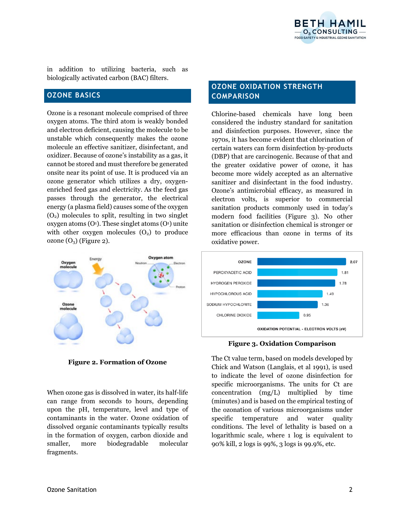

in addition to utilizing bacteria, such as biologically activated carbon (BAC) filters.

## **OZONE BASICS**

Ozone is a resonant molecule comprised of three oxygen atoms. The third atom is weakly bonded and electron deficient, causing the molecule to be unstable which consequently makes the ozone molecule an effective sanitizer, disinfectant, and oxidizer. Because of ozone's instability as a gas, it cannot be stored and must therefore be generated onsite near its point of use. It is produced via an ozone generator which utilizes a dry, oxygenenriched feed gas and electricity. As the feed gas passes through the generator, the electrical energy (a plasma field) causes some of the oxygen  $(O<sub>2</sub>)$  molecules to split, resulting in two singlet oxygen atoms  $(O<sup>i</sup>)$ . These singlet atoms  $(O<sup>i</sup>)$  unite with other oxygen molecules  $(O_2)$  to produce ozone  $(O_3)$  (Figure 2).



**Figure 2. Formation of Ozone**

When ozone gas is dissolved in water, its half-life can range from seconds to hours, depending upon the pH, temperature, level and type of contaminants in the water. Ozone oxidation of dissolved organic contaminants typically results in the formation of oxygen, carbon dioxide and smaller, more biodegradable molecular fragments.

# **OZONE OXIDATION STRENGTH COMPARISON**

Chlorine-based chemicals have long been considered the industry standard for sanitation and disinfection purposes. However, since the 1970s, it has become evident that chlorination of certain waters can form disinfection by-products (DBP) that are carcinogenic. Because of that and the greater oxidative power of ozone, it has become more widely accepted as an alternative sanitizer and disinfectant in the food industry. Ozone's antimicrobial efficacy, as measured in electron volts, is superior to commercial sanitation products commonly used in today's modern food facilities (Figure 3). No other sanitation or disinfection chemical is stronger or more efficacious than ozone in terms of its oxidative power.



**Figure 3. Oxidation Comparison**

The Ct value term, based on models developed by Chick and Watson (Langlais, et al 1991), is used to indicate the level of ozone disinfection for specific microorganisms. The units for Ct are concentration (mg/L) multiplied by time (minutes) and is based on the empirical testing of the ozonation of various microorganisms under specific temperature and water quality conditions. The level of lethality is based on a logarithmic scale, where 1 log is equivalent to 90% kill, 2 logs is 99%, 3 logs is 99.9%, etc.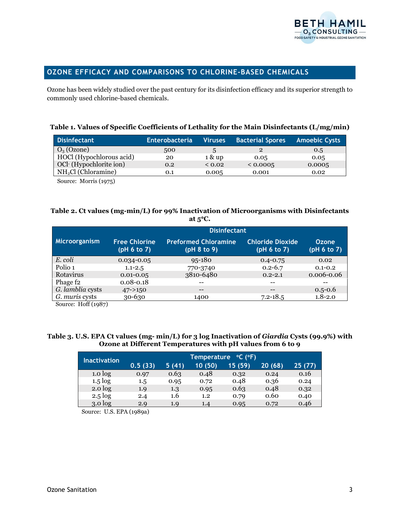

# **OZONE EFFICACY AND COMPARISONS TO CHLORINE-BASED CHEMICALS**

Ozone has been widely studied over the past century for its disinfection efficacy and its superior strength to commonly used chlorine-based chemicals.

#### **Table 1. Values of Specific Coefficients of Lethality for the Main Disinfectants (L/mg/min)**

| <b>Disinfectant</b>      | <b>Enterobacteria</b> | <b>Viruses</b> | <b>Bacterial Spores</b> Amoebic Cysts |        |
|--------------------------|-----------------------|----------------|---------------------------------------|--------|
| $O_3$ (Ozone)            | 500                   | $\mathbf{h}$   |                                       | 0.5    |
| HOCl (Hypochlorous acid) | 20                    | 1 & up         | 0.05                                  | 0.05   |
| OCl (Hypochlorite ion)   | 0.2                   | $\leq 0.02$    | < 0.0005                              | 0.0005 |
| $NH2Cl$ (Chloramine)     | O.1                   | 0.005          | 0.001                                 | 0.02   |

Source: Morris (1975)

## **Table 2. Ct values (mg-min/L) for 99% Inactivation of Microorganisms with Disinfectants at 5**°**C.**

| <b>Disinfectant</b>                 |                                            |                                        |                             |
|-------------------------------------|--------------------------------------------|----------------------------------------|-----------------------------|
| <b>Free Chlorine</b><br>(pH 6 to 7) | <b>Preformed Chloramine</b><br>(pH 8 to 9) | <b>Chloride Dioxide</b><br>(pH 6 to 7) | <b>Ozone</b><br>(pH 6 to 7) |
| $0.034 - 0.05$                      | $95 - 180$                                 | $0.4 - 0.75$                           | 0.02                        |
| $1.1 - 2.5$                         | 770-3740                                   | $0.2 - 6.7$                            | $0.1 - 0.2$                 |
| $0.01 - 0.05$                       | 3810-6480                                  | $0.2 - 2.1$                            | 0.006-0.06                  |
| $0.08 - 0.18$                       |                                            | $- -$                                  |                             |
| $47 - > 150$                        | $- -$                                      | --                                     | $0.5 - 0.6$                 |
| 30-630                              | 1400                                       | $7.2 - 18.5$                           | $1.8 - 2.0$                 |
|                                     |                                            |                                        |                             |

Source: Hoff (1987)

#### **Table 3. U.S. EPA Ct values (mg- min/L) for 3 log Inactivation of** *Giardia* **Cysts (99.9%) with Ozone at Different Temperatures with pH values from 6 to 9**

| <b>Inactivation</b> | $^{\circ}$ C ( $^{\circ}$ F)<br>Temperature |       |         |         |         |        |
|---------------------|---------------------------------------------|-------|---------|---------|---------|--------|
|                     | 0.5(33)                                     | 5(41) | 10(50)  | 15 (59) | 20 (68) | 25(77) |
| 1.0 <sub>log</sub>  | 0.97                                        | 0.63  | 0.48    | 0.32    | 0.24    | 0.16   |
| $1.5 \log$          | 1.5                                         | 0.95  | 0.72    | 0.48    | 0.36    | 0.24   |
| $2.0$ $log$         | 1.9                                         | 1.3   | 0.95    | 0.63    | 0.48    | 0.32   |
| $2.5 \log$          | 2.4                                         | 1.6   | $1.2\,$ | 0.79    | 0.60    | 0.40   |
| 3.0 <sub>log</sub>  | 2.9                                         | 1.9   | 1.4     | 0.95    | 0.72    | 0.46   |

Source: U.S. EPA (1989a)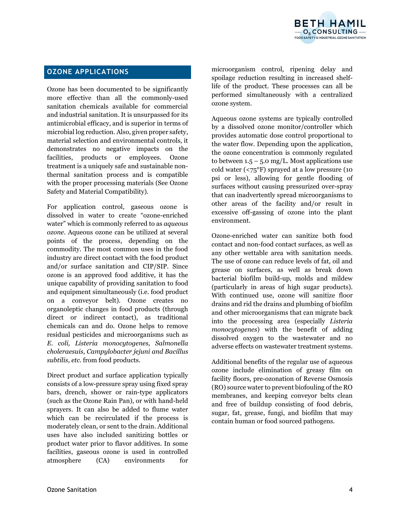

# **OZONE APPLICATIONS**

Ozone has been documented to be significantly more effective than all the commonly-used sanitation chemicals available for commercial and industrial sanitation. It is unsurpassed for its antimicrobial efficacy, and is superior in terms of microbial log reduction. Also, given proper safety, material selection and environmental controls, it demonstrates no negative impacts on the facilities, products or employees. Ozone treatment is a uniquely safe and sustainable nonthermal sanitation process and is compatible with the proper processing materials (See Ozone Safety and Material Compatibility).

For application control, gaseous ozone is dissolved in water to create "ozone-enriched water" which is commonly referred to as *aqueous ozone*. Aqueous ozone can be utilized at several points of the process, depending on the commodity. The most common uses in the food industry are direct contact with the food product and/or surface sanitation and CIP/SIP. Since ozone is an approved food additive, it has the unique capability of providing sanitation to food and equipment simultaneously (i.e. food product on a conveyor belt). Ozone creates no organoleptic changes in food products (through direct or indirect contact), as traditional chemicals can and do. Ozone helps to remove residual pesticides and microorganisms such as *E. coli, Listeria monocytogenes, Salmonella choleraesuis, Campylobacter jejuni and Bacillus subtilis, etc.* from food products.

Direct product and surface application typically consists of a low-pressure spray using fixed spray bars, drench, shower or rain-type applicators (such as the Ozone Rain Pan), or with hand-held sprayers. It can also be added to flume water which can be recirculated if the process is moderately clean, or sent to the drain. Additional uses have also included sanitizing bottles or product water prior to flavor additives. In some facilities, gaseous ozone is used in controlled atmosphere (CA) environments for

microorganism control, ripening delay and spoilage reduction resulting in increased shelflife of the product. These processes can all be performed simultaneously with a centralized ozone system.

Aqueous ozone systems are typically controlled by a dissolved ozone monitor/controller which provides automatic dose control proportional to the water flow. Depending upon the application, the ozone concentration is commonly regulated to between  $1.5 - 5.0$  mg/L. Most applications use cold water  $(**75°F**)$  sprayed at a low pressure (10) psi or less), allowing for gentle flooding of surfaces without causing pressurized over-spray that can inadvertently spread microorganisms to other areas of the facility and/or result in excessive off-gassing of ozone into the plant environment.

Ozone-enriched water can sanitize both food contact and non-food contact surfaces, as well as any other wettable area with sanitation needs. The use of ozone can reduce levels of fat, oil and grease on surfaces, as well as break down bacterial biofilm build-up, molds and mildew (particularly in areas of high sugar products). With continued use, ozone will sanitize floor drains and rid the drains and plumbing of biofilm and other microorganisms that can migrate back into the processing area (especially *Listeria monocytogenes*) with the benefit of adding dissolved oxygen to the wastewater and no adverse effects on wastewater treatment systems.

Additional benefits of the regular use of aqueous ozone include elimination of greasy film on facility floors, pre-ozonation of Reverse Osmosis (RO) source water to prevent biofouling of the RO membranes, and keeping conveyor belts clean and free of buildup consisting of food debris, sugar, fat, grease, fungi, and biofilm that may contain human or food sourced pathogens.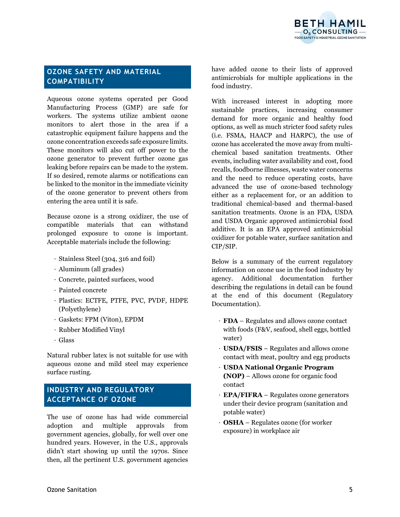

# **OZONE SAFETY AND MATERIAL COMPATIBILITY**

Aqueous ozone systems operated per Good Manufacturing Process (GMP) are safe for workers. The systems utilize ambient ozone monitors to alert those in the area if a catastrophic equipment failure happens and the ozone concentration exceeds safe exposure limits. These monitors will also cut off power to the ozone generator to prevent further ozone gas leaking before repairs can be made to the system. If so desired, remote alarms or notifications can be linked to the monitor in the immediate vicinity of the ozone generator to prevent others from entering the area until it is safe.

Because ozone is a strong oxidizer, the use of compatible materials that can withstand prolonged exposure to ozone is important. Acceptable materials include the following:

- ⋅ Stainless Steel (304, 316 and foil)
- ⋅ Aluminum (all grades)
- ⋅ Concrete, painted surfaces, wood
- ⋅ Painted concrete
- ⋅ Plastics: ECTFE, PTFE, PVC, PVDF, HDPE (Polyethylene)
- ⋅ Gaskets: FPM (Viton), EPDM
- ⋅ Rubber Modified Vinyl
- ⋅ Glass

Natural rubber latex is not suitable for use with aqueous ozone and mild steel may experience surface rusting.

# **INDUSTRY AND REGULATORY ACCEPTANCE OF OZONE**

The use of ozone has had wide commercial adoption and multiple approvals from government agencies, globally, for well over one hundred years. However, in the U.S., approvals didn't start showing up until the 1970s. Since then, all the pertinent U.S. government agencies have added ozone to their lists of approved antimicrobials for multiple applications in the food industry.

With increased interest in adopting more sustainable practices, increasing consumer demand for more organic and healthy food options, as well as much stricter food safety rules (i.e. FSMA, HAACP and HARPC), the use of ozone has accelerated the move away from multichemical based sanitation treatments. Other events, including water availability and cost, food recalls, foodborne illnesses, waste water concerns and the need to reduce operating costs, have advanced the use of ozone-based technology either as a replacement for, or an addition to traditional chemical-based and thermal-based sanitation treatments. Ozone is an FDA, USDA and USDA Organic approved antimicrobial food additive. It is an EPA approved antimicrobial oxidizer for potable water, surface sanitation and CIP/SIP.

Below is a summary of the current regulatory information on ozone use in the food industry by agency. Additional documentation further describing the regulations in detail can be found at the end of this document (Regulatory Documentation).

- ⋅ **FDA** Regulates and allows ozone contact with foods (F&V, seafood, shell eggs, bottled water)
- ⋅ **USDA/FSIS** Regulates and allows ozone contact with meat, poultry and egg products
- ⋅ **USDA National Organic Program (NOP)** – Allows ozone for organic food contact
- ⋅ **EPA/FIFRA** Regulates ozone generators under their device program (sanitation and potable water)
- ⋅ **OSHA** Regulates ozone (for worker exposure) in workplace air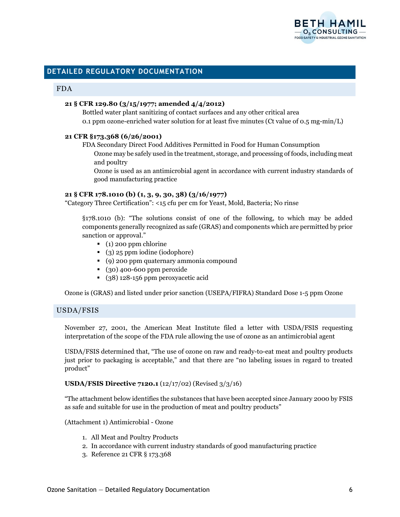

# **DETAILED REGULATORY DOCUMENTATION**

#### FDA

### **21 § CFR 129.80 (3/15/1977; amended 4/4/2012)**

Bottled water plant sanitizing of contact surfaces and any other critical area 0.1 ppm ozone-enriched water solution for at least five minutes (Ct value of 0.5 mg-min/L)

#### **21 CFR §173.368 (6/26/2001)**

FDA Secondary Direct Food Additives Permitted in Food for Human Consumption

Ozone may be safely used in the treatment, storage, and processing of foods, including meat and poultry

Ozone is used as an antimicrobial agent in accordance with current industry standards of good manufacturing practice

#### **21 § CFR 178.1010 (b) (1, 3, 9, 30, 38) (3/16/1977)**

"Category Three Certification": <15 cfu per cm for Yeast, Mold, Bacteria; No rinse

§178.1010 (b): "The solutions consist of one of the following, to which may be added components generally recognized as safe (GRAS) and components which are permitted by prior sanction or approval."

- (1) 200 ppm chlorine
- (3) 25 ppm iodine (iodophore)
- (9) 200 ppm quaternary ammonia compound
- (30) 400-600 ppm peroxide
- (38) 128-156 ppm peroxyacetic acid

Ozone is (GRAS) and listed under prior sanction (USEPA/FIFRA) Standard Dose 1-5 ppm Ozone

## USDA/FSIS

November 27, 2001, the American Meat Institute filed a letter with USDA/FSIS requesting interpretation of the scope of the FDA rule allowing the use of ozone as an antimicrobial agent

USDA/FSIS determined that, "The use of ozone on raw and ready-to-eat meat and poultry products just prior to packaging is acceptable," and that there are "no labeling issues in regard to treated product"

#### **USDA/FSIS Directive 7120.1** (12/17/02) (Revised 3/3/16)

"The attachment below identifies the substances that have been accepted since January 2000 by FSIS as safe and suitable for use in the production of meat and poultry products"

(Attachment 1) Antimicrobial - Ozone

- 1. All Meat and Poultry Products
- 2. In accordance with current industry standards of good manufacturing practice
- 3. Reference 21 CFR § 173.368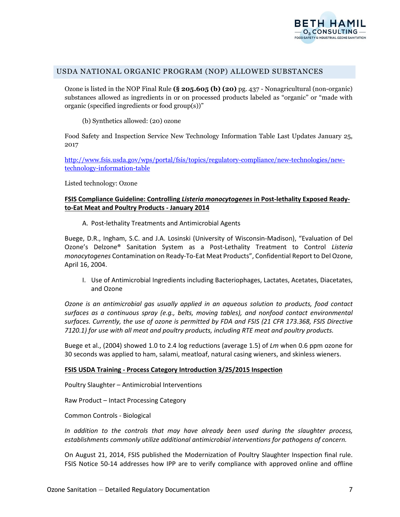

## USDA NATIONAL ORGANIC PROGRAM (NOP) ALLOWED SUBSTANCES

Ozone is listed in the NOP Final Rule **(§ 205.605 (b) (20)** pg. 437 - Nonagricultural (non-organic) substances allowed as ingredients in or on processed products labeled as "organic" or "made with organic (specified ingredients or food group(s))"

(b) Synthetics allowed: (20) ozone

Food Safety and Inspection Service New Technology Information Table Last Updates January 25, 2017

[http://www.fsis.usda.gov/wps/portal/fsis/topics/regulatory-compliance/new-technologies/new](http://www.fsis.usda.gov/wps/portal/fsis/topics/regulatory-compliance/new-technologies/new-technology-information-table)[technology-information-table](http://www.fsis.usda.gov/wps/portal/fsis/topics/regulatory-compliance/new-technologies/new-technology-information-table)

Listed technology: Ozone

## **FSIS Compliance Guideline: Controlling** *Listeria monocytogenes* **in Post-lethality Exposed Readyto-Eat Meat and Poultry Products - January 2014**

A. Post-lethality Treatments and Antimicrobial Agents

Buege, D.R., Ingham, S.C. and J.A. Losinski (University of Wisconsin-Madison), "Evaluation of Del Ozone's Delzone® Sanitation System as a Post-Lethality Treatment to Control *Listeria monocytogenes* Contamination on Ready-To-Eat Meat Products", Confidential Report to Del Ozone, April 16, 2004.

I. Use of Antimicrobial Ingredients including Bacteriophages, Lactates, Acetates, Diacetates, and Ozone

*Ozone is an antimicrobial gas usually applied in an aqueous solution to products, food contact surfaces as a continuous spray (e.g., belts, moving tables), and nonfood contact environmental surfaces. Currently, the use of ozone is permitted by FDA and FSIS (21 CFR 173.368, FSIS Directive 7120.1) for use with all meat and poultry products, including RTE meat and poultry products.* 

Buege et al., (2004) showed 1.0 to 2.4 log reductions (average 1.5) of *Lm* when 0.6 ppm ozone for 30 seconds was applied to ham, salami, meatloaf, natural casing wieners, and skinless wieners.

#### **FSIS USDA Training - Process Category Introduction 3/25/2015 Inspection**

Poultry Slaughter – Antimicrobial Interventions

Raw Product – Intact Processing Category

Common Controls - Biological

*In addition to the controls that may have already been used during the slaughter process, establishments commonly utilize additional antimicrobial interventions for pathogens of concern.*

On August 21, 2014, FSIS published the Modernization of Poultry Slaughter Inspection final rule. FSIS Notice 50-14 addresses how IPP are to verify compliance with approved online and offline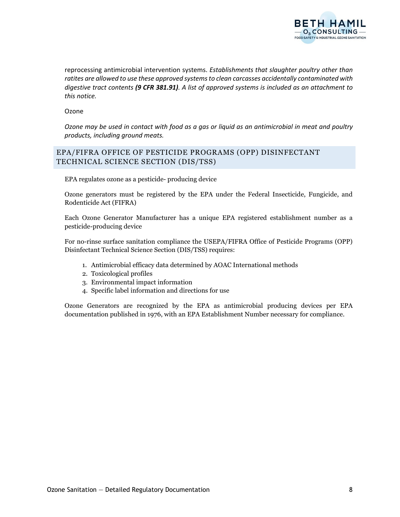

reprocessing antimicrobial intervention systems. *Establishments that slaughter poultry other than ratites are allowed to use these approved systems to clean carcasses accidentally contaminated with digestive tract contents (9 CFR 381.91). A list of approved systems is included as an attachment to this notice.*

Ozone

*Ozone may be used in contact with food as a gas or liquid as an antimicrobial in meat and poultry products, including ground meats.*

## EPA/FIFRA OFFICE OF PESTICIDE PROGRAMS (OPP) DISINFECTANT TECHNICAL SCIENCE SECTION (DIS/TSS)

EPA regulates ozone as a pesticide- producing device

Ozone generators must be registered by the EPA under the Federal Insecticide, Fungicide, and Rodenticide Act (FIFRA)

Each Ozone Generator Manufacturer has a unique EPA registered establishment number as a pesticide-producing device

For no-rinse surface sanitation compliance the USEPA/FIFRA Office of Pesticide Programs (OPP) Disinfectant Technical Science Section (DIS/TSS) requires:

- 1. Antimicrobial efficacy data determined by AOAC International methods
- 2. Toxicological profiles
- 3. Environmental impact information
- 4. Specific label information and directions for use

Ozone Generators are recognized by the EPA as antimicrobial producing devices per EPA documentation published in 1976, with an EPA Establishment Number necessary for compliance.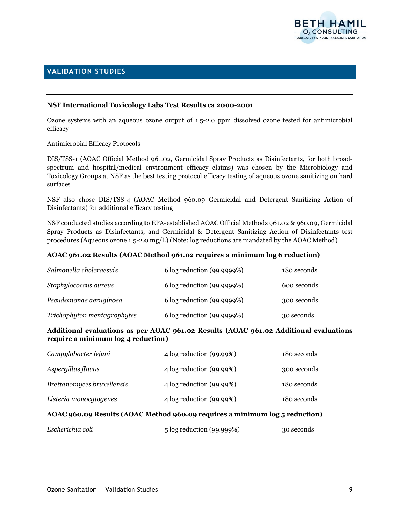

# **VALIDATION STUDIES**

### **NSF International Toxicology Labs Test Results ca 2000-2001**

Ozone systems with an aqueous ozone output of 1.5-2.0 ppm dissolved ozone tested for antimicrobial efficacy

#### Antimicrobial Efficacy Protocols

DIS/TSS-1 (AOAC Official Method 961.02, Germicidal Spray Products as Disinfectants, for both broadspectrum and hospital/medical environment efficacy claims) was chosen by the Microbiology and Toxicology Groups at NSF as the best testing protocol efficacy testing of aqueous ozone sanitizing on hard surfaces

NSF also chose DIS/TSS-4 (AOAC Method 960.09 Germicidal and Detergent Sanitizing Action of Disinfectants) for additional efficacy testing

NSF conducted studies according to EPA-established AOAC Official Methods 961.02 & 960.09, Germicidal Spray Products as Disinfectants, and Germicidal & Detergent Sanitizing Action of Disinfectants test procedures (Aqueous ozone 1.5-2.0 mg/L) (Note: log reductions are mandated by the AOAC Method)

#### **AOAC 961.02 Results (AOAC Method 961.02 requires a minimum log 6 reduction)**

| Salmonella choleraesuis     | 6 log reduction (99.9999%) | 180 seconds |
|-----------------------------|----------------------------|-------------|
| Staphylococcus aureus       | 6 log reduction (99.9999%) | 600 seconds |
| Pseudomonas aeruginosa      | 6 log reduction (99.9999%) | 300 seconds |
| Trichophyton mentagrophytes | 6 log reduction (99.9999%) | 30 seconds  |

### **Additional evaluations as per AOAC 961.02 Results (AOAC 961.02 Additional evaluations require a minimum log 4 reduction)**

| AOAC 960.09 Results (AOAC Method 960.09 requires a minimum log 5 reduction) |                             |             |  |
|-----------------------------------------------------------------------------|-----------------------------|-------------|--|
| Listeria monocytogenes                                                      | $4 \log$ reduction (99.99%) | 180 seconds |  |
| Brettanomyces bruxellensis                                                  | $4 \log$ reduction (99.99%) | 180 seconds |  |
| Aspergillus flavus                                                          | $4 \log$ reduction (99.99%) | 300 seconds |  |
| Campylobacter jejuni                                                        | $4 \log$ reduction (99.99%) | 180 seconds |  |

| 5 log reduction (99.999%) | 30 seconds |
|---------------------------|------------|
|                           |            |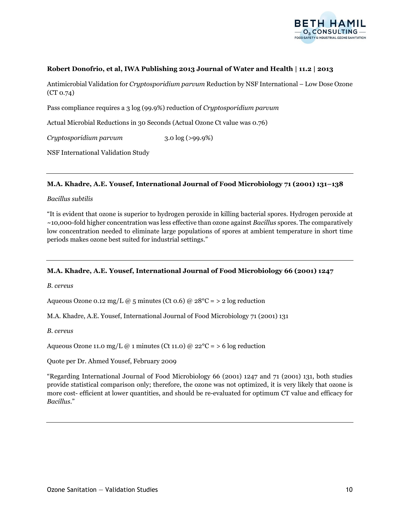

### **Robert Donofrio, et al, IWA Publishing 2013 Journal of Water and Health | 11.2 | 2013**

Antimicrobial Validation for *Cryptosporidium parvum* Reduction by NSF International – Low Dose Ozone (CT 0.74)

Pass compliance requires a 3 log (99.9%) reduction of *Cryptosporidium parvum*

Actual Microbial Reductions in 30 Seconds (Actual Ozone Ct value was 0.76)

*Cryptosporidium parvum* 3.0 log (>99.9%)

NSF International Validation Study

#### **M.A. Khadre, A.E. Yousef, International Journal of Food Microbiology 71 (2001) 131–138**

#### *Bacillus subtilis*

"It is evident that ozone is superior to hydrogen peroxide in killing bacterial spores. Hydrogen peroxide at ~10,000-fold higher concentration was less effective than ozone against *Bacillus* spores. The comparatively low concentration needed to eliminate large populations of spores at ambient temperature in short time periods makes ozone best suited for industrial settings."

#### **M.A. Khadre, A.E. Yousef, International Journal of Food Microbiology 66 (2001) 1247**

*B. cereus*

Aqueous Ozone 0.12 mg/L @ 5 minutes (Ct 0.6) @  $28^{\circ}$ C = > 2 log reduction

M.A. Khadre, A.E. Yousef, International Journal of Food Microbiology 71 (2001) 131

*B. cereus*

Aqueous Ozone 11.0 mg/L @ 1 minutes (Ct 11.0) @  $22^{\circ}C = 5$  log reduction

Quote per Dr. Ahmed Yousef, February 2009

"Regarding International Journal of Food Microbiology 66 (2001) 1247 and 71 (2001) 131, both studies provide statistical comparison only; therefore, the ozone was not optimized, it is very likely that ozone is more cost- efficient at lower quantities, and should be re-evaluated for optimum CT value and efficacy for *Bacillus*."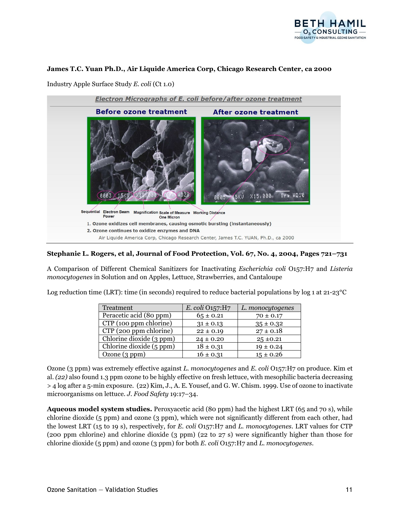

#### **James T.C. Yuan Ph.D., Air Liquide America Corp, Chicago Research Center, ca 2000**

Industry Apple Surface Study *E. coli* (Ct 1.0)



### **Stephanie L. Rogers, et al, Journal of Food Protection, Vol. 67, No. 4, 2004, Pages 721–731**

A Comparison of Different Chemical Sanitizers for Inactivating *Escherichia coli* O157:H7 and *Listeria monocytogenes* in Solution and on Apples, Lettuce, Strawberries, and Cantaloupe

Log reduction time (LRT): time (in seconds) required to reduce bacterial populations by log 1 at 21-23°C

| Treatment                | E. coli O157:H7 | L. monocytogenes |
|--------------------------|-----------------|------------------|
| Peracetic acid (80 ppm)  | $65 \pm 0.21$   | $70 \pm 0.17$    |
| CTP (100 ppm chlorine)   | $31 \pm 0.13$   | $35 \pm 0.32$    |
| CTP (200 ppm chlorine)   | $22 \pm 0.19$   | $27 \pm 0.18$    |
| Chlorine dioxide (3 ppm) | $24 \pm 0.20$   | $25 \pm 0.21$    |
| Chlorine dioxide (5 ppm) | $18 \pm 0.31$   | $19 \pm 0.24$    |
| Ozone $(3 ppm)$          | $16 \pm 0.31$   | $15 \pm 0.26$    |

Ozone (3 ppm) was extremely effective against *L. monocytogenes* and *E. coli* O157:H7 on produce. Kim et al. *(22)* also found 1.3 ppm ozone to be highly effective on fresh lettuce, with mesophilic bacteria decreasing > 4 log after a 5-min exposure. (22) Kim, J., A. E. Yousef, and G. W. Chism. 1999. Use of ozone to inactivate microorganisms on lettuce. *J. Food Safety* 19:17–34.

**Aqueous model system studies.** Peroxyacetic acid (80 ppm) had the highest LRT (65 and 70 s), while chlorine dioxide (5 ppm) and ozone (3 ppm), which were not significantly different from each other, had the lowest LRT (15 to 19 s), respectively, for *E. coli* O157:H7 and *L. monocytogenes*. LRT values for CTP (200 ppm chlorine) and chlorine dioxide (3 ppm) (22 to 27 s) were significantly higher than those for chlorine dioxide (5 ppm) and ozone (3 ppm) for both *E. coli* O157:H7 and *L. monocytogenes*.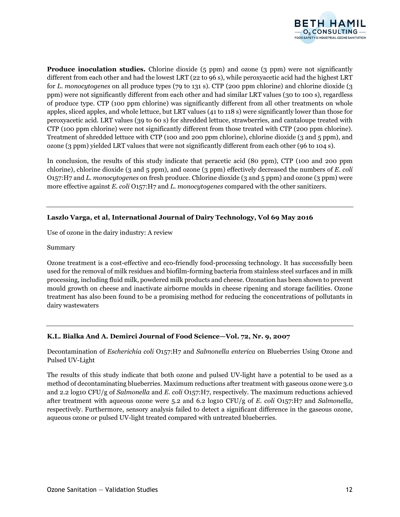

**Produce inoculation studies.** Chlorine dioxide (5 ppm) and ozone (3 ppm) were not significantly different from each other and had the lowest LRT (22 to 96 s), while peroxyacetic acid had the highest LRT for *L. monocytogenes* on all produce types (79 to 131 s). CTP (200 ppm chlorine) and chlorine dioxide (3 ppm) were not significantly different from each other and had similar LRT values (30 to 100 s), regardless of produce type. CTP (100 ppm chlorine) was significantly different from all other treatments on whole apples, sliced apples, and whole lettuce, but LRT values (41 to 118 s) were significantly lower than those for peroxyacetic acid. LRT values (39 to 60 s) for shredded lettuce, strawberries, and cantaloupe treated with CTP (100 ppm chlorine) were not significantly different from those treated with CTP (200 ppm chlorine). Treatment of shredded lettuce with CTP (100 and 200 ppm chlorine), chlorine dioxide (3 and 5 ppm), and ozone (3 ppm) yielded LRT values that were not significantly different from each other (96 to 104 s).

In conclusion, the results of this study indicate that peracetic acid (80 ppm), CTP (100 and 200 ppm chlorine), chlorine dioxide (3 and 5 ppm), and ozone (3 ppm) effectively decreased the numbers of *E. coli*  O157:H7 and *L. monocytogenes* on fresh produce. Chlorine dioxide (3 and 5 ppm) and ozone (3 ppm) were more effective against *E. coli* O157:H7 and *L. monocytogenes* compared with the other sanitizers.

## **Laszlo Varga, et al, International Journal of Dairy Technology, Vol 69 May 2016**

Use of ozone in the dairy industry: A review

Summary

Ozone treatment is a cost-effective and eco-friendly food-processing technology. It has successfully been used for the removal of milk residues and biofilm-forming bacteria from stainless steel surfaces and in milk processing, including fluid milk, powdered milk products and cheese. Ozonation has been shown to prevent mould growth on cheese and inactivate airborne moulds in cheese ripening and storage facilities. Ozone treatment has also been found to be a promising method for reducing the concentrations of pollutants in dairy wastewaters

#### **K.L. Bialka And A. Demirci Journal of Food Science—Vol. 72, Nr. 9, 2007**

Decontamination of *Escherichia coli* O157:H7 and *Salmonella enterica* on Blueberries Using Ozone and Pulsed UV-Light

The results of this study indicate that both ozone and pulsed UV-light have a potential to be used as a method of decontaminating blueberries. Maximum reductions after treatment with gaseous ozone were 3.0 and 2.2 log10 CFU/g of *Salmonella* and *E. coli* O157:H7, respectively. The maximum reductions achieved after treatment with aqueous ozone were 5.2 and 6.2 log10 CFU/g of *E. coli* O157:H7 and *Salmonella*, respectively. Furthermore, sensory analysis failed to detect a significant difference in the gaseous ozone, aqueous ozone or pulsed UV-light treated compared with untreated blueberries.